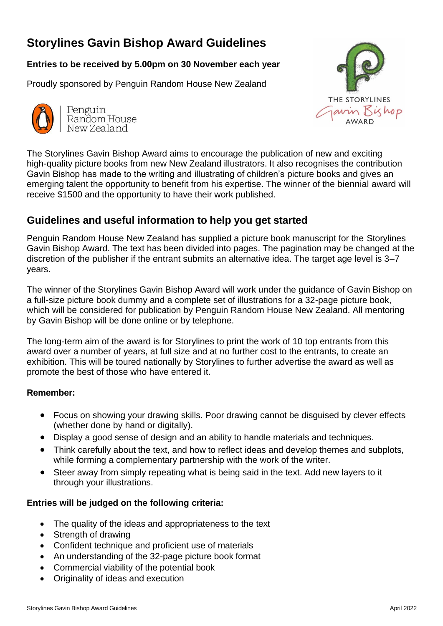# **Storylines Gavin Bishop Award Guidelines**

# **Entries to be received by 5.00pm on 30 November each year**

Proudly sponsored by Penguin Random House New Zealand



Penguin Random House New Zealand



The Storylines Gavin Bishop Award aims to encourage the publication of new and exciting high-quality picture books from new New Zealand illustrators. It also recognises the contribution Gavin Bishop has made to the writing and illustrating of children's picture books and gives an emerging talent the opportunity to benefit from his expertise. The winner of the biennial award will receive \$1500 and the opportunity to have their work published.

# **Guidelines and useful information to help you get started**

Penguin Random House New Zealand has supplied a picture book manuscript for the Storylines Gavin Bishop Award. The text has been divided into pages. The pagination may be changed at the discretion of the publisher if the entrant submits an alternative idea. The target age level is 3–7 years.

The winner of the Storylines Gavin Bishop Award will work under the guidance of Gavin Bishop on a full-size picture book dummy and a complete set of illustrations for a 32-page picture book, which will be considered for publication by Penguin Random House New Zealand. All mentoring by Gavin Bishop will be done online or by telephone.

The long-term aim of the award is for Storylines to print the work of 10 top entrants from this award over a number of years, at full size and at no further cost to the entrants, to create an exhibition. This will be toured nationally by Storylines to further advertise the award as well as promote the best of those who have entered it.

### **Remember:**

- Focus on showing your drawing skills. Poor drawing cannot be disguised by clever effects (whether done by hand or digitally).
- Display a good sense of design and an ability to handle materials and techniques.
- Think carefully about the text, and how to reflect ideas and develop themes and subplots, while forming a complementary partnership with the work of the writer.
- Steer away from simply repeating what is being said in the text. Add new layers to it through your illustrations.

# **Entries will be judged on the following criteria:**

- The quality of the ideas and appropriateness to the text
- Strength of drawing
- Confident technique and proficient use of materials
- An understanding of the 32-page picture book format
- Commercial viability of the potential book
- Originality of ideas and execution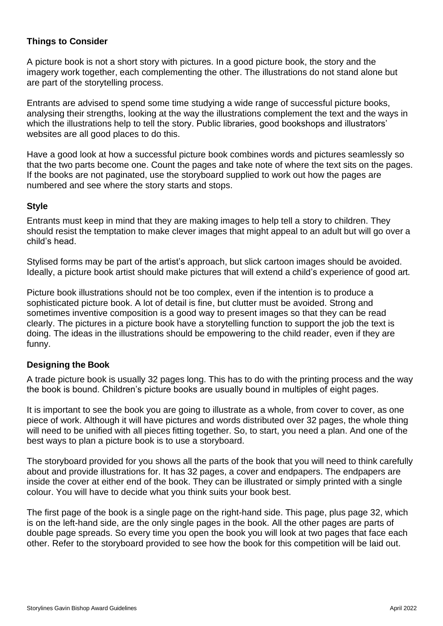#### **Things to Consider**

A picture book is not a short story with pictures. In a good picture book, the story and the imagery work together, each complementing the other. The illustrations do not stand alone but are part of the storytelling process.

Entrants are advised to spend some time studying a wide range of successful picture books, analysing their strengths, looking at the way the illustrations complement the text and the ways in which the illustrations help to tell the story. Public libraries, good bookshops and illustrators' websites are all good places to do this.

Have a good look at how a successful picture book combines words and pictures seamlessly so that the two parts become one. Count the pages and take note of where the text sits on the pages. If the books are not paginated, use the storyboard supplied to work out how the pages are numbered and see where the story starts and stops.

#### **Style**

Entrants must keep in mind that they are making images to help tell a story to children. They should resist the temptation to make clever images that might appeal to an adult but will go over a child's head.

Stylised forms may be part of the artist's approach, but slick cartoon images should be avoided. Ideally, a picture book artist should make pictures that will extend a child's experience of good art.

Picture book illustrations should not be too complex, even if the intention is to produce a sophisticated picture book. A lot of detail is fine, but clutter must be avoided. Strong and sometimes inventive composition is a good way to present images so that they can be read clearly. The pictures in a picture book have a storytelling function to support the job the text is doing. The ideas in the illustrations should be empowering to the child reader, even if they are funny.

#### **Designing the Book**

A trade picture book is usually 32 pages long. This has to do with the printing process and the way the book is bound. Children's picture books are usually bound in multiples of eight pages.

It is important to see the book you are going to illustrate as a whole, from cover to cover, as one piece of work. Although it will have pictures and words distributed over 32 pages, the whole thing will need to be unified with all pieces fitting together. So, to start, you need a plan. And one of the best ways to plan a picture book is to use a storyboard.

The storyboard provided for you shows all the parts of the book that you will need to think carefully about and provide illustrations for. It has 32 pages, a cover and endpapers. The endpapers are inside the cover at either end of the book. They can be illustrated or simply printed with a single colour. You will have to decide what you think suits your book best.

The first page of the book is a single page on the right-hand side. This page, plus page 32, which is on the left-hand side, are the only single pages in the book. All the other pages are parts of double page spreads. So every time you open the book you will look at two pages that face each other. Refer to the storyboard provided to see how the book for this competition will be laid out.